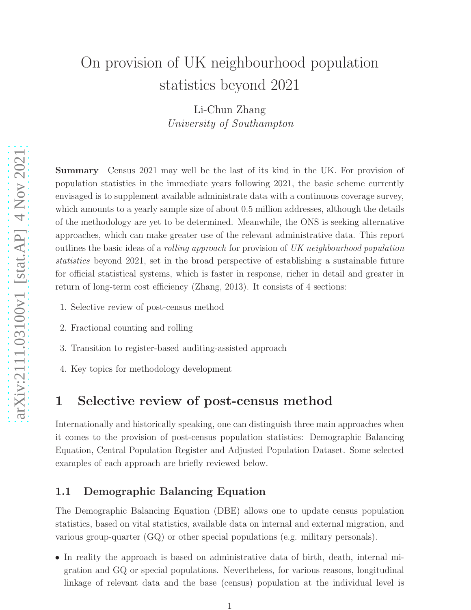# On provision of UK neighbourhood population statistics beyond 2021

Li-Chun Zhang University of Southampton

Summary Census 2021 may well be the last of its kind in the UK. For provision of population statistics in the immediate years following 2021, the basic scheme currently envisaged is to supplement available administrate data with a continuous coverage survey, which amounts to a yearly sample size of about 0.5 million addresses, although the details of the methodology are yet to be determined. Meanwhile, the ONS is seeking alternative approaches, which can make greater use of the relevant administrative data. This report outlines the basic ideas of a rolling approach for provision of UK neighbourhood population statistics beyond 2021, set in the broad perspective of establishing a sustainable future for official statistical systems, which is faster in response, richer in detail and greater in return of long-term cost efficiency (Zhang, 2013). It consists of 4 sections:

- 1. Selective review of post-census method
- 2. Fractional counting and rolling
- 3. Transition to register-based auditing-assisted approach
- 4. Key topics for methodology development

# 1 Selective review of post-census method

Internationally and historically speaking, one can distinguish three main approaches when it comes to the provision of post-census population statistics: Demographic Balancing Equation, Central Population Register and Adjusted Population Dataset. Some selected examples of each approach are briefly reviewed below.

# 1.1 Demographic Balancing Equation

The Demographic Balancing Equation (DBE) allows one to update census population statistics, based on vital statistics, available data on internal and external migration, and various group-quarter (GQ) or other special populations (e.g. military personals).

• In reality the approach is based on administrative data of birth, death, internal migration and GQ or special populations. Nevertheless, for various reasons, longitudinal linkage of relevant data and the base (census) population at the individual level is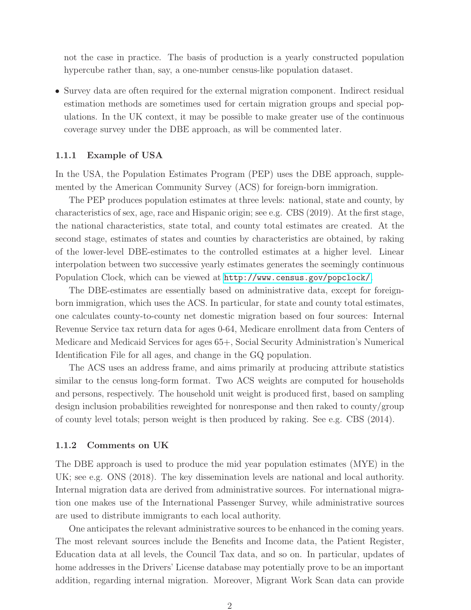not the case in practice. The basis of production is a yearly constructed population hypercube rather than, say, a one-number census-like population dataset.

• Survey data are often required for the external migration component. Indirect residual estimation methods are sometimes used for certain migration groups and special populations. In the UK context, it may be possible to make greater use of the continuous coverage survey under the DBE approach, as will be commented later.

#### 1.1.1 Example of USA

In the USA, the Population Estimates Program (PEP) uses the DBE approach, supplemented by the American Community Survey (ACS) for foreign-born immigration.

The PEP produces population estimates at three levels: national, state and county, by characteristics of sex, age, race and Hispanic origin; see e.g. CBS (2019). At the first stage, the national characteristics, state total, and county total estimates are created. At the second stage, estimates of states and counties by characteristics are obtained, by raking of the lower-level DBE-estimates to the controlled estimates at a higher level. Linear interpolation between two successive yearly estimates generates the seemingly continuous Population Clock, which can be viewed at <http://www.census.gov/popclock/>.

The DBE-estimates are essentially based on administrative data, except for foreignborn immigration, which uses the ACS. In particular, for state and county total estimates, one calculates county-to-county net domestic migration based on four sources: Internal Revenue Service tax return data for ages 0-64, Medicare enrollment data from Centers of Medicare and Medicaid Services for ages 65+, Social Security Administration's Numerical Identification File for all ages, and change in the GQ population.

The ACS uses an address frame, and aims primarily at producing attribute statistics similar to the census long-form format. Two ACS weights are computed for households and persons, respectively. The household unit weight is produced first, based on sampling design inclusion probabilities reweighted for nonresponse and then raked to county/group of county level totals; person weight is then produced by raking. See e.g. CBS (2014).

#### 1.1.2 Comments on UK

The DBE approach is used to produce the mid year population estimates (MYE) in the UK; see e.g. ONS (2018). The key dissemination levels are national and local authority. Internal migration data are derived from administrative sources. For international migration one makes use of the International Passenger Survey, while administrative sources are used to distribute immigrants to each local authority.

One anticipates the relevant administrative sources to be enhanced in the coming years. The most relevant sources include the Benefits and Income data, the Patient Register, Education data at all levels, the Council Tax data, and so on. In particular, updates of home addresses in the Drivers' License database may potentially prove to be an important addition, regarding internal migration. Moreover, Migrant Work Scan data can provide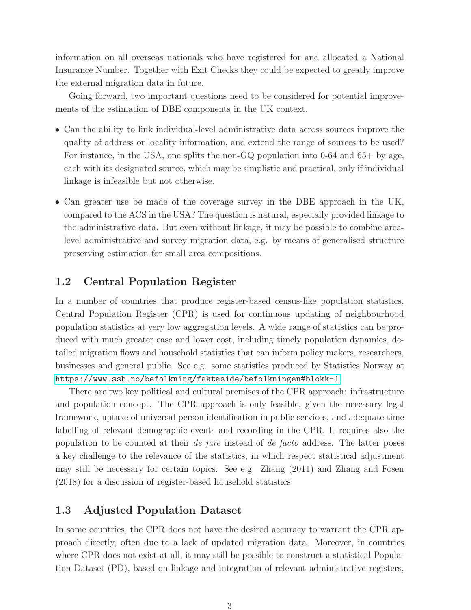information on all overseas nationals who have registered for and allocated a National Insurance Number. Together with Exit Checks they could be expected to greatly improve the external migration data in future.

Going forward, two important questions need to be considered for potential improvements of the estimation of DBE components in the UK context.

- Can the ability to link individual-level administrative data across sources improve the quality of address or locality information, and extend the range of sources to be used? For instance, in the USA, one splits the non-GQ population into 0-64 and 65+ by age, each with its designated source, which may be simplistic and practical, only if individual linkage is infeasible but not otherwise.
- Can greater use be made of the coverage survey in the DBE approach in the UK, compared to the ACS in the USA? The question is natural, especially provided linkage to the administrative data. But even without linkage, it may be possible to combine arealevel administrative and survey migration data, e.g. by means of generalised structure preserving estimation for small area compositions.

# 1.2 Central Population Register

In a number of countries that produce register-based census-like population statistics, Central Population Register (CPR) is used for continuous updating of neighbourhood population statistics at very low aggregation levels. A wide range of statistics can be produced with much greater ease and lower cost, including timely population dynamics, detailed migration flows and household statistics that can inform policy makers, researchers, businesses and general public. See e.g. some statistics produced by Statistics Norway at <https://www.ssb.no/befolkning/faktaside/befolkningen#blokk-1>.

There are two key political and cultural premises of the CPR approach: infrastructure and population concept. The CPR approach is only feasible, given the necessary legal framework, uptake of universal person identification in public services, and adequate time labelling of relevant demographic events and recording in the CPR. It requires also the population to be counted at their *de jure* instead of *de facto* address. The latter poses a key challenge to the relevance of the statistics, in which respect statistical adjustment may still be necessary for certain topics. See e.g. Zhang (2011) and Zhang and Fosen (2018) for a discussion of register-based household statistics.

# 1.3 Adjusted Population Dataset

In some countries, the CPR does not have the desired accuracy to warrant the CPR approach directly, often due to a lack of updated migration data. Moreover, in countries where CPR does not exist at all, it may still be possible to construct a statistical Population Dataset (PD), based on linkage and integration of relevant administrative registers,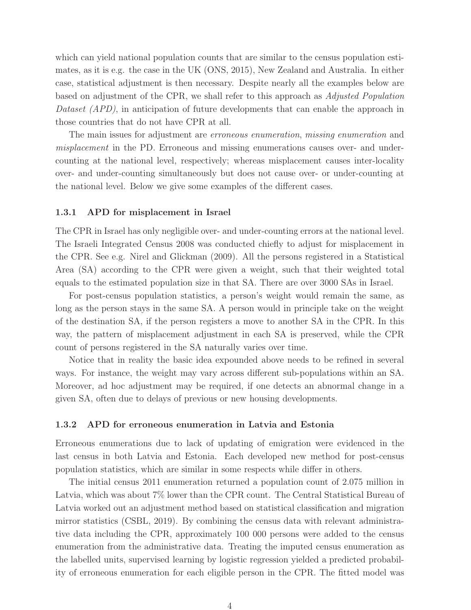which can yield national population counts that are similar to the census population estimates, as it is e.g. the case in the UK (ONS, 2015), New Zealand and Australia. In either case, statistical adjustment is then necessary. Despite nearly all the examples below are based on adjustment of the CPR, we shall refer to this approach as Adjusted Population Dataset (APD), in anticipation of future developments that can enable the approach in those countries that do not have CPR at all.

The main issues for adjustment are *erroneous enumeration*, *missing enumeration* and misplacement in the PD. Erroneous and missing enumerations causes over- and undercounting at the national level, respectively; whereas misplacement causes inter-locality over- and under-counting simultaneously but does not cause over- or under-counting at the national level. Below we give some examples of the different cases.

#### 1.3.1 APD for misplacement in Israel

The CPR in Israel has only negligible over- and under-counting errors at the national level. The Israeli Integrated Census 2008 was conducted chiefly to adjust for misplacement in the CPR. See e.g. Nirel and Glickman (2009). All the persons registered in a Statistical Area (SA) according to the CPR were given a weight, such that their weighted total equals to the estimated population size in that SA. There are over 3000 SAs in Israel.

For post-census population statistics, a person's weight would remain the same, as long as the person stays in the same SA. A person would in principle take on the weight of the destination SA, if the person registers a move to another SA in the CPR. In this way, the pattern of misplacement adjustment in each SA is preserved, while the CPR count of persons registered in the SA naturally varies over time.

Notice that in reality the basic idea expounded above needs to be refined in several ways. For instance, the weight may vary across different sub-populations within an SA. Moreover, ad hoc adjustment may be required, if one detects an abnormal change in a given SA, often due to delays of previous or new housing developments.

#### 1.3.2 APD for erroneous enumeration in Latvia and Estonia

Erroneous enumerations due to lack of updating of emigration were evidenced in the last census in both Latvia and Estonia. Each developed new method for post-census population statistics, which are similar in some respects while differ in others.

The initial census 2011 enumeration returned a population count of 2.075 million in Latvia, which was about 7% lower than the CPR count. The Central Statistical Bureau of Latvia worked out an adjustment method based on statistical classification and migration mirror statistics (CSBL, 2019). By combining the census data with relevant administrative data including the CPR, approximately 100 000 persons were added to the census enumeration from the administrative data. Treating the imputed census enumeration as the labelled units, supervised learning by logistic regression yielded a predicted probability of erroneous enumeration for each eligible person in the CPR. The fitted model was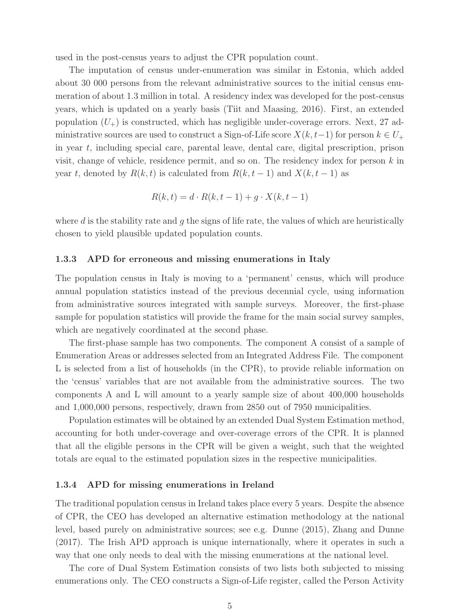used in the post-census years to adjust the CPR population count.

The imputation of census under-enumeration was similar in Estonia, which added about 30 000 persons from the relevant administrative sources to the initial census enumeration of about 1.3 million in total. A residency index was developed for the post-census years, which is updated on a yearly basis (Tiit and Maasing, 2016). First, an extended population  $(U<sub>+</sub>)$  is constructed, which has negligible under-coverage errors. Next, 27 administrative sources are used to construct a Sign-of-Life score  $X(k, t-1)$  for person  $k \in U_+$ in year t, including special care, parental leave, dental care, digital prescription, prison visit, change of vehicle, residence permit, and so on. The residency index for person  $k$  in year t, denoted by  $R(k, t)$  is calculated from  $R(k, t-1)$  and  $X(k, t-1)$  as

$$
R(k,t) = d \cdot R(k,t-1) + g \cdot X(k,t-1)
$$

where d is the stability rate and  $q$  the signs of life rate, the values of which are heuristically chosen to yield plausible updated population counts.

#### 1.3.3 APD for erroneous and missing enumerations in Italy

The population census in Italy is moving to a 'permanent' census, which will produce annual population statistics instead of the previous decennial cycle, using information from administrative sources integrated with sample surveys. Moreover, the first-phase sample for population statistics will provide the frame for the main social survey samples, which are negatively coordinated at the second phase.

The first-phase sample has two components. The component A consist of a sample of Enumeration Areas or addresses selected from an Integrated Address File. The component L is selected from a list of households (in the CPR), to provide reliable information on the 'census' variables that are not available from the administrative sources. The two components A and L will amount to a yearly sample size of about 400,000 households and 1,000,000 persons, respectively, drawn from 2850 out of 7950 municipalities.

Population estimates will be obtained by an extended Dual System Estimation method, accounting for both under-coverage and over-coverage errors of the CPR. It is planned that all the eligible persons in the CPR will be given a weight, such that the weighted totals are equal to the estimated population sizes in the respective municipalities.

#### 1.3.4 APD for missing enumerations in Ireland

The traditional population census in Ireland takes place every 5 years. Despite the absence of CPR, the CEO has developed an alternative estimation methodology at the national level, based purely on administrative sources; see e.g. Dunne (2015), Zhang and Dunne (2017). The Irish APD approach is unique internationally, where it operates in such a way that one only needs to deal with the missing enumerations at the national level.

The core of Dual System Estimation consists of two lists both subjected to missing enumerations only. The CEO constructs a Sign-of-Life register, called the Person Activity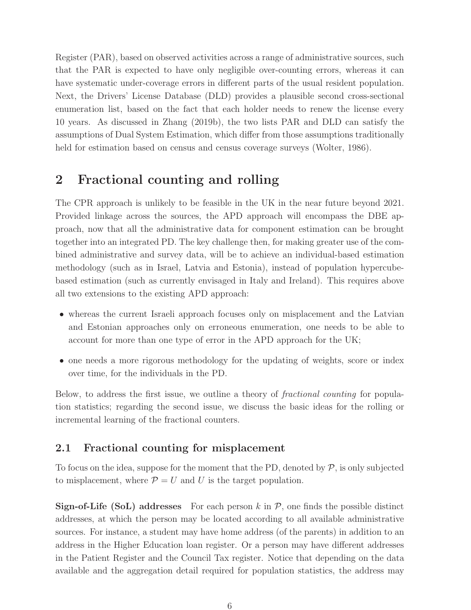Register (PAR), based on observed activities across a range of administrative sources, such that the PAR is expected to have only negligible over-counting errors, whereas it can have systematic under-coverage errors in different parts of the usual resident population. Next, the Drivers' License Database (DLD) provides a plausible second cross-sectional enumeration list, based on the fact that each holder needs to renew the license every 10 years. As discussed in Zhang (2019b), the two lists PAR and DLD can satisfy the assumptions of Dual System Estimation, which differ from those assumptions traditionally held for estimation based on census and census coverage surveys (Wolter, 1986).

# 2 Fractional counting and rolling

The CPR approach is unlikely to be feasible in the UK in the near future beyond 2021. Provided linkage across the sources, the APD approach will encompass the DBE approach, now that all the administrative data for component estimation can be brought together into an integrated PD. The key challenge then, for making greater use of the combined administrative and survey data, will be to achieve an individual-based estimation methodology (such as in Israel, Latvia and Estonia), instead of population hypercubebased estimation (such as currently envisaged in Italy and Ireland). This requires above all two extensions to the existing APD approach:

- whereas the current Israeli approach focuses only on misplacement and the Latvian and Estonian approaches only on erroneous enumeration, one needs to be able to account for more than one type of error in the APD approach for the UK;
- one needs a more rigorous methodology for the updating of weights, score or index over time, for the individuals in the PD.

Below, to address the first issue, we outline a theory of fractional counting for population statistics; regarding the second issue, we discuss the basic ideas for the rolling or incremental learning of the fractional counters.

# 2.1 Fractional counting for misplacement

To focus on the idea, suppose for the moment that the PD, denoted by  $P$ , is only subjected to misplacement, where  $P = U$  and U is the target population.

**Sign-of-Life (SoL) addresses** For each person k in  $\mathcal{P}$ , one finds the possible distinct addresses, at which the person may be located according to all available administrative sources. For instance, a student may have home address (of the parents) in addition to an address in the Higher Education loan register. Or a person may have different addresses in the Patient Register and the Council Tax register. Notice that depending on the data available and the aggregation detail required for population statistics, the address may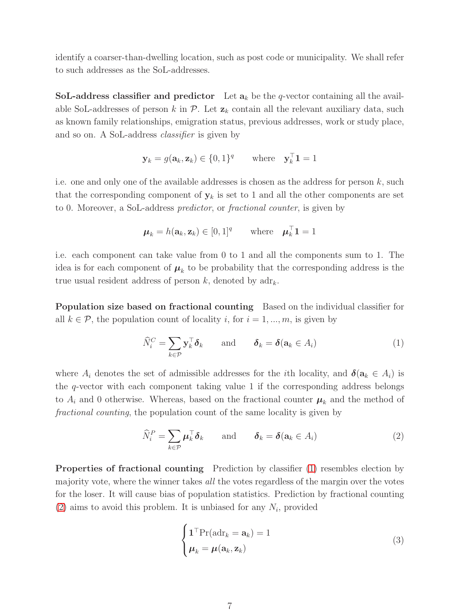identify a coarser-than-dwelling location, such as post code or municipality. We shall refer to such addresses as the SoL-addresses.

SoL-address classifier and predictor Let  $a_k$  be the q-vector containing all the available SoL-addresses of person k in  $\mathcal{P}$ . Let  $\mathbf{z}_k$  contain all the relevant auxiliary data, such as known family relationships, emigration status, previous addresses, work or study place, and so on. A SoL-address classifier is given by

$$
\mathbf{y}_k = g(\mathbf{a}_k, \mathbf{z}_k) \in \{0, 1\}^q \quad \text{where} \quad \mathbf{y}_k^\top \mathbf{1} = 1
$$

i.e. one and only one of the available addresses is chosen as the address for person  $k$ , such that the corresponding component of  $y_k$  is set to 1 and all the other components are set to 0. Moreover, a SoL-address predictor, or fractional counter, is given by

$$
\boldsymbol{\mu}_k = h(\mathbf{a}_k, \mathbf{z}_k) \in [0, 1]^q \qquad \text{where} \quad \boldsymbol{\mu}_k^\top \mathbf{1} = 1
$$

i.e. each component can take value from 0 to 1 and all the components sum to 1. The idea is for each component of  $\mu_k$  to be probability that the corresponding address is the true usual resident address of person  $k$ , denoted by  $adr_k$ .

Population size based on fractional counting Based on the individual classifier for all  $k \in \mathcal{P}$ , the population count of locality i, for  $i = 1, ..., m$ , is given by

<span id="page-6-0"></span>
$$
\widehat{N}_i^C = \sum_{k \in \mathcal{P}} \mathbf{y}_k^\top \boldsymbol{\delta}_k \quad \text{and} \quad \boldsymbol{\delta}_k = \boldsymbol{\delta}(\mathbf{a}_k \in A_i) \tag{1}
$$

where  $A_i$  denotes the set of admissible addresses for the *i*th locality, and  $\delta(\mathbf{a}_k \in A_i)$  is the q-vector with each component taking value 1 if the corresponding address belongs to  $A_i$  and 0 otherwise. Whereas, based on the fractional counter  $\mu_k$  and the method of fractional counting, the population count of the same locality is given by

<span id="page-6-1"></span>
$$
\widehat{N}_i^P = \sum_{k \in \mathcal{P}} \mu_k^{\top} \delta_k \quad \text{and} \quad \delta_k = \delta(\mathbf{a}_k \in A_i)
$$
 (2)

Properties of fractional counting Prediction by classifier [\(1\)](#page-6-0) resembles election by majority vote, where the winner takes all the votes regardless of the margin over the votes for the loser. It will cause bias of population statistics. Prediction by fractional counting [\(2\)](#page-6-1) aims to avoid this problem. It is unbiased for any  $N_i$ , provided

<span id="page-6-2"></span>
$$
\begin{cases}\n\mathbf{1}^{\top} \text{Pr}(\text{adr}_k = \mathbf{a}_k) = 1\\ \n\boldsymbol{\mu}_k = \boldsymbol{\mu}(\mathbf{a}_k, \mathbf{z}_k)\n\end{cases} \tag{3}
$$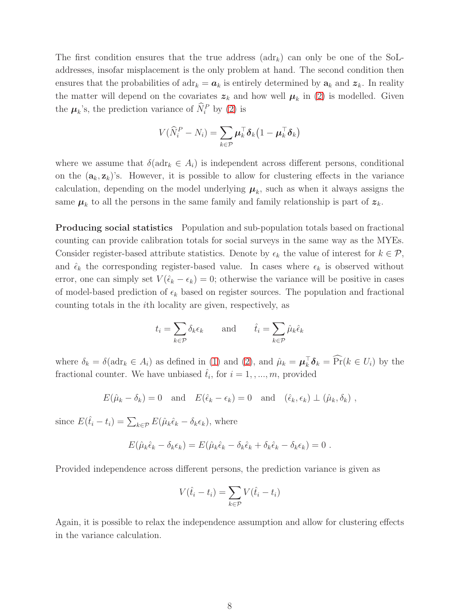The first condition ensures that the true address  $(adr_k)$  can only be one of the SoLaddresses, insofar misplacement is the only problem at hand. The second condition then ensures that the probabilities of  $adr_k = a_k$  is entirely determined by  $a_k$  and  $z_k$ . In reality the matter will depend on the covariates  $z_k$  and how well  $\mu_k$  in [\(2\)](#page-6-1) is modelled. Given the  $\mu_k$ 's, the prediction variance of  $\hat{N}_i^P$  by [\(2\)](#page-6-1) is

$$
V(\widehat{N}_i^P - N_i) = \sum_{k \in \mathcal{P}} \mu_k^{\top} \boldsymbol{\delta}_k \big( 1 - \mu_k^{\top} \boldsymbol{\delta}_k \big)
$$

where we assume that  $\delta(\text{adr}_k \in A_i)$  is independent across different persons, conditional on the  $(a_k, z_k)$ 's. However, it is possible to allow for clustering effects in the variance calculation, depending on the model underlying  $\mu_k$ , such as when it always assigns the same  $\mu_k$  to all the persons in the same family and family relationship is part of  $z_k$ .

Producing social statistics Population and sub-population totals based on fractional counting can provide calibration totals for social surveys in the same way as the MYEs. Consider register-based attribute statistics. Denote by  $\epsilon_k$  the value of interest for  $k \in \mathcal{P}$ , and  $\hat{\epsilon}_k$  the corresponding register-based value. In cases where  $\epsilon_k$  is observed without error, one can simply set  $V(\hat{\epsilon}_k - \epsilon_k) = 0$ ; otherwise the variance will be positive in cases of model-based prediction of  $\epsilon_k$  based on register sources. The population and fractional counting totals in the ith locality are given, respectively, as

$$
t_i = \sum_{k \in \mathcal{P}} \delta_k \epsilon_k
$$
 and  $\hat{t}_i = \sum_{k \in \mathcal{P}} \hat{\mu}_k \hat{\epsilon}_k$ 

where  $\delta_k = \delta(\text{adr}_k \in A_i)$  as defined in [\(1\)](#page-6-0) and [\(2\)](#page-6-1), and  $\hat{\mu}_k = \mu_k^{\top} \delta_k = \widehat{\Pr}(k \in U_i)$  by the fractional counter. We have unbiased  $\hat{t}_i$ , for  $i = 1, ..., m$ , provided

$$
E(\hat{\mu}_k - \delta_k) = 0
$$
 and  $E(\hat{\epsilon}_k - \epsilon_k) = 0$  and  $(\hat{\epsilon}_k, \epsilon_k) \perp (\hat{\mu}_k, \delta_k)$ ,

since  $E(\hat{t}_i - t_i) = \sum_{k \in \mathcal{P}} E(\hat{\mu}_k \hat{\epsilon}_k - \delta_k \epsilon_k)$ , where

$$
E(\hat{\mu}_k \hat{\epsilon}_k - \delta_k \epsilon_k) = E(\hat{\mu}_k \hat{\epsilon}_k - \delta_k \hat{\epsilon}_k + \delta_k \hat{\epsilon}_k - \delta_k \epsilon_k) = 0.
$$

Provided independence across different persons, the prediction variance is given as

$$
V(\hat{t}_i - t_i) = \sum_{k \in \mathcal{P}} V(\hat{t}_i - t_i)
$$

Again, it is possible to relax the independence assumption and allow for clustering effects in the variance calculation.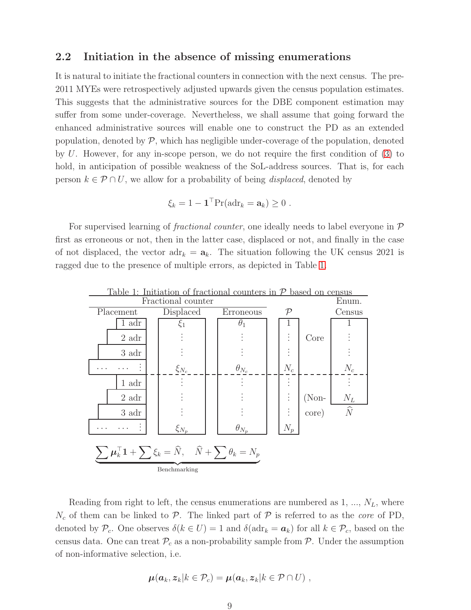# 2.2 Initiation in the absence of missing enumerations

It is natural to initiate the fractional counters in connection with the next census. The pre-2011 MYEs were retrospectively adjusted upwards given the census population estimates. This suggests that the administrative sources for the DBE component estimation may suffer from some under-coverage. Nevertheless, we shall assume that going forward the enhanced administrative sources will enable one to construct the PD as an extended population, denoted by  $\mathcal{P}$ , which has negligible under-coverage of the population, denoted by U. However, for any in-scope person, we do not require the first condition of [\(3\)](#page-6-2) to hold, in anticipation of possible weakness of the SoL-address sources. That is, for each person  $k \in \mathcal{P} \cap U$ , we allow for a probability of being *displaced*, denoted by

$$
\xi_k = 1 - \mathbf{1}^\top \Pr(\text{adr}_k = \mathbf{a}_k) \geq 0.
$$

For supervised learning of *fractional counter*, one ideally needs to label everyone in  $\mathcal{P}$ first as erroneous or not, then in the latter case, displaced or not, and finally in the case of not displaced, the vector  $adr_k = a_k$ . The situation following the UK census 2021 is ragged due to the presence of multiple errors, as depicted in Table [1.](#page-8-0)



<span id="page-8-0"></span>

Reading from right to left, the census enumerations are numbered as  $1, ..., N_L$ , where  $N_c$  of them can be linked to  $\mathcal P$ . The linked part of  $\mathcal P$  is referred to as the *core* of PD, denoted by  $\mathcal{P}_c$ . One observes  $\delta(k \in U) = 1$  and  $\delta(\text{adr}_k = a_k)$  for all  $k \in \mathcal{P}_c$ , based on the census data. One can treat  $\mathcal{P}_c$  as a non-probability sample from  $\mathcal{P}$ . Under the assumption of non-informative selection, i.e.

$$
\boldsymbol{\mu}(\boldsymbol{a}_k,\boldsymbol{z}_k|k\in\mathcal{P}_c)=\boldsymbol{\mu}(\boldsymbol{a}_k,\boldsymbol{z}_k|k\in\mathcal{P}\cap U)\ ,
$$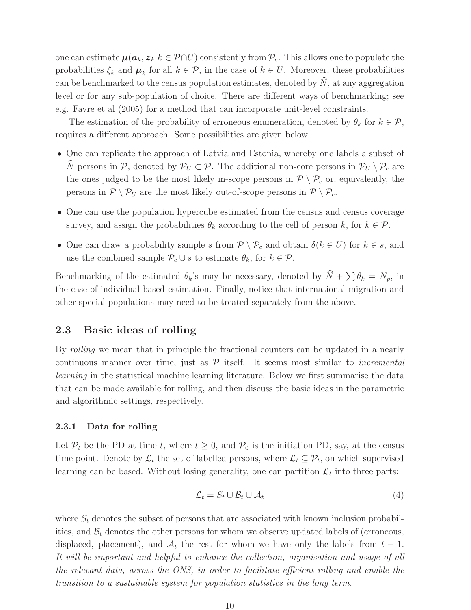one can estimate  $\mu(a_k, z_k|k \in \mathcal{P} \cap U)$  consistently from  $\mathcal{P}_c$ . This allows one to populate the probabilities  $\xi_k$  and  $\mu_k$  for all  $k \in \mathcal{P}$ , in the case of  $k \in U$ . Moreover, these probabilities can be benchmarked to the census population estimates, denoted by  $\hat{N}$ , at any aggregation level or for any sub-population of choice. There are different ways of benchmarking; see e.g. Favre et al (2005) for a method that can incorporate unit-level constraints.

The estimation of the probability of erroneous enumeration, denoted by  $\theta_k$  for  $k \in \mathcal{P}$ , requires a different approach. Some possibilities are given below.

- One can replicate the approach of Latvia and Estonia, whereby one labels a subset of  $\widehat{N}$  persons in  $\mathcal{P},$  denoted by  $\mathcal{P}_U \subset \mathcal{P}$ . The additional non-core persons in  $\mathcal{P}_U \setminus \mathcal{P}_c$  are the ones judged to be the most likely in-scope persons in  $P \setminus P_c$  or, equivalently, the persons in  $P \setminus P_U$  are the most likely out-of-scope persons in  $P \setminus P_c$ .
- One can use the population hypercube estimated from the census and census coverage survey, and assign the probabilities  $\theta_k$  according to the cell of person k, for  $k \in \mathcal{P}$ .
- One can draw a probability sample s from  $\mathcal{P} \setminus \mathcal{P}_c$  and obtain  $\delta(k \in U)$  for  $k \in s$ , and use the combined sample  $\mathcal{P}_c \cup s$  to estimate  $\theta_k$ , for  $k \in \mathcal{P}$ .

Benchmarking of the estimated  $\theta_k$ 's may be necessary, denoted by  $\widehat{N} + \sum \theta_k = N_p$ , in the case of individual-based estimation. Finally, notice that international migration and other special populations may need to be treated separately from the above.

### 2.3 Basic ideas of rolling

By *rolling* we mean that in principle the fractional counters can be updated in a nearly continuous manner over time, just as  $P$  itself. It seems most similar to *incremental* learning in the statistical machine learning literature. Below we first summarise the data that can be made available for rolling, and then discuss the basic ideas in the parametric and algorithmic settings, respectively.

#### 2.3.1 Data for rolling

Let  $\mathcal{P}_t$  be the PD at time t, where  $t \geq 0$ , and  $\mathcal{P}_0$  is the initiation PD, say, at the census time point. Denote by  $\mathcal{L}_t$  the set of labelled persons, where  $\mathcal{L}_t \subseteq \mathcal{P}_t$ , on which supervised learning can be based. Without losing generality, one can partition  $\mathcal{L}_t$  into three parts:

<span id="page-9-0"></span>
$$
\mathcal{L}_t = S_t \cup \mathcal{B}_t \cup \mathcal{A}_t \tag{4}
$$

where  $S_t$  denotes the subset of persons that are associated with known inclusion probabilities, and  $\mathcal{B}_t$  denotes the other persons for whom we observe updated labels of (erroneous, displaced, placement), and  $A_t$  the rest for whom we have only the labels from  $t-1$ . It will be important and helpful to enhance the collection, organisation and usage of all the relevant data, across the ONS, in order to facilitate efficient rolling and enable the transition to a sustainable system for population statistics in the long term.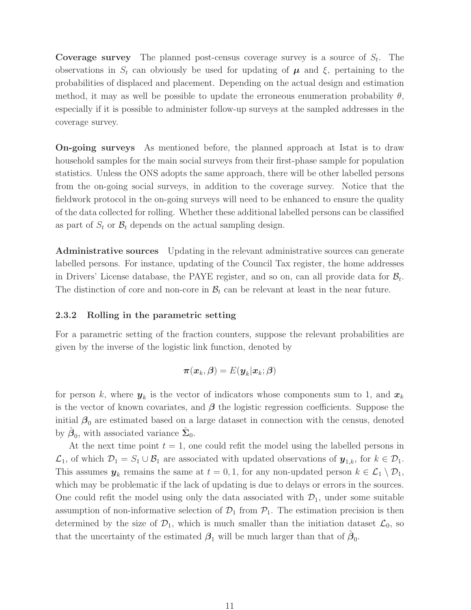**Coverage survey** The planned post-census coverage survey is a source of  $S_t$ . The observations in  $S_t$  can obviously be used for updating of  $\mu$  and  $\xi$ , pertaining to the probabilities of displaced and placement. Depending on the actual design and estimation method, it may as well be possible to update the erroneous enumeration probability  $\theta$ , especially if it is possible to administer follow-up surveys at the sampled addresses in the coverage survey.

On-going surveys As mentioned before, the planned approach at Istat is to draw household samples for the main social surveys from their first-phase sample for population statistics. Unless the ONS adopts the same approach, there will be other labelled persons from the on-going social surveys, in addition to the coverage survey. Notice that the fieldwork protocol in the on-going surveys will need to be enhanced to ensure the quality of the data collected for rolling. Whether these additional labelled persons can be classified as part of  $S_t$  or  $\mathcal{B}_t$  depends on the actual sampling design.

Administrative sources Updating in the relevant administrative sources can generate labelled persons. For instance, updating of the Council Tax register, the home addresses in Drivers' License database, the PAYE register, and so on, can all provide data for  $\mathcal{B}_t$ . The distinction of core and non-core in  $B_t$  can be relevant at least in the near future.

#### <span id="page-10-0"></span>2.3.2 Rolling in the parametric setting

For a parametric setting of the fraction counters, suppose the relevant probabilities are given by the inverse of the logistic link function, denoted by

$$
\boldsymbol{\pi}(\boldsymbol{x}_k,\boldsymbol{\beta})=E(\boldsymbol{y}_k|\boldsymbol{x}_k;\boldsymbol{\beta})
$$

for person k, where  $y_k$  is the vector of indicators whose components sum to 1, and  $x_k$ is the vector of known covariates, and  $\beta$  the logistic regression coefficients. Suppose the initial  $\beta_0$  are estimated based on a large dataset in connection with the census, denoted by  $\hat{\boldsymbol{\beta}}_0$ , with associated variance  $\hat{\boldsymbol{\Sigma}}_0$ .

At the next time point  $t = 1$ , one could refit the model using the labelled persons in  $\mathcal{L}_1$ , of which  $\mathcal{D}_1 = S_1 \cup \mathcal{B}_1$  are associated with updated observations of  $\mathbf{y}_{1,k}$ , for  $k \in \mathcal{D}_1$ . This assumes  $y_k$  remains the same at  $t = 0, 1$ , for any non-updated person  $k \in \mathcal{L}_1 \setminus \mathcal{D}_1$ , which may be problematic if the lack of updating is due to delays or errors in the sources. One could refit the model using only the data associated with  $\mathcal{D}_1$ , under some suitable assumption of non-informative selection of  $\mathcal{D}_1$  from  $\mathcal{P}_1$ . The estimation precision is then determined by the size of  $\mathcal{D}_1$ , which is much smaller than the initiation dataset  $\mathcal{L}_0$ , so that the uncertainty of the estimated  $\beta_1$  will be much larger than that of  $\hat{\beta}_0$ .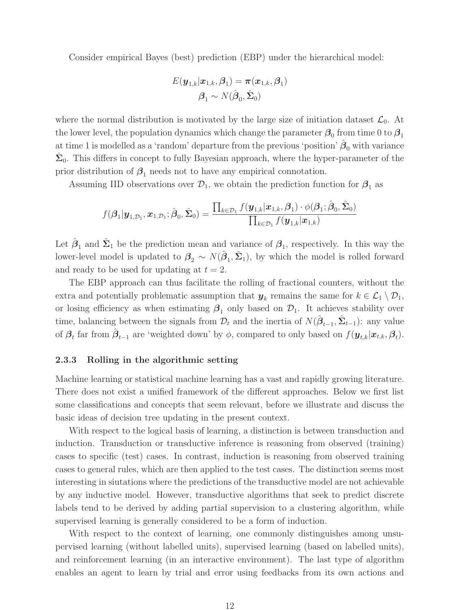Consider empirical Bayes (best) prediction (EBP) under the hierarchical model:

$$
E(\boldsymbol{y}_{1,k}|\boldsymbol{x}_{1,k},\boldsymbol{\beta}_1) = \boldsymbol{\pi}(\boldsymbol{x}_{1,k},\boldsymbol{\beta}_1) \\ \boldsymbol{\beta}_1 \sim N(\hat{\boldsymbol{\beta}}_0,\hat{\boldsymbol{\Sigma}}_0)
$$

where the normal distribution is motivated by the large size of initiation dataset  $\mathcal{L}_0$ . At the lower level, the population dynamics which change the parameter  $\beta_0$  from time 0 to  $\beta_1$ at time 1 is modelled as a 'random' departure from the previous 'position'  $\hat{\boldsymbol{\beta}}_0$  with variance  $\hat{\Sigma}_0$ . This differs in concept to fully Bayesian approach, where the hyper-parameter of the prior distribution of  $\beta_1$  needs not to have any empirical connotation.

Assuming IID observations over  $\mathcal{D}_1$ , we obtain the prediction function for  $\mathcal{B}_1$  as

$$
f(\boldsymbol{\beta}_1|\boldsymbol{y}_{1,\mathcal{D}_1},\boldsymbol{x}_{1,\mathcal{D}_1};\hat{\boldsymbol{\beta}}_0,\hat{\boldsymbol{\Sigma}}_0) = \frac{\prod_{k \in \mathcal{D}_1} f(\boldsymbol{y}_{1,k}|\boldsymbol{x}_{1,k},\boldsymbol{\beta}_1) \cdot \phi(\boldsymbol{\beta}_1;\hat{\boldsymbol{\beta}}_0,\hat{\boldsymbol{\Sigma}}_0)}{\prod_{k \in \mathcal{D}_1} f(\boldsymbol{y}_{1,k}|\boldsymbol{x}_{1,k})}
$$

Let  $\hat{\boldsymbol{\beta}}_1$  and  $\hat{\boldsymbol{\Sigma}}_1$  be the prediction mean and variance of  $\boldsymbol{\beta}_1$ , respectively. In this way the lower-level model is updated to  $\beta_2 \sim N(\hat{\beta}_1, \hat{\Sigma}_1)$ , by which the model is rolled forward and ready to be used for updating at  $t = 2$ .

The EBP approach can thus facilitate the rolling of fractional counters, without the extra and potentially problematic assumption that  $y_k$  remains the same for  $k \in \mathcal{L}_1 \setminus \mathcal{D}_1$ , or losing efficiency as when estimating  $\beta_1$  only based on  $\mathcal{D}_1$ . It achieves stability over time, balancing between the signals from  $\mathcal{D}_t$  and the inertia of  $N(\hat{\beta}_{t-1}, \hat{\Sigma}_{t-1})$ : any value of  $\beta_t$  far from  $\hat{\boldsymbol{\beta}}_{t-1}$  are 'weighted down' by  $\phi$ , compared to only based on  $f(\boldsymbol{y}_{t,k}|\boldsymbol{x}_{t,k},\boldsymbol{\beta}_t)$ .

#### <span id="page-11-0"></span>2.3.3 Rolling in the algorithmic setting

Machine learning or statistical machine learning has a vast and rapidly growing literature. There does not exist a unified framework of the different approaches. Below we first list some classifications and concepts that seem relevant, before we illustrate and discuss the basic ideas of decision tree updating in the present context.

With respect to the logical basis of learning, a distinction is between transduction and induction. Transduction or transductive inference is reasoning from observed (training) cases to specific (test) cases. In contrast, induction is reasoning from observed training cases to general rules, which are then applied to the test cases. The distinction seems most interesting in siutations where the predictions of the transductive model are not achievable by any inductive model. However, transductive algorithms that seek to predict discrete labels tend to be derived by adding partial supervision to a clustering algorithm, while supervised learning is generally considered to be a form of induction.

With respect to the context of learning, one commonly distinguishes among unsupervised learning (without labelled units), supervised learning (based on labelled units), and reinforcement learning (in an interactive environment). The last type of algorithm enables an agent to learn by trial and error using feedbacks from its own actions and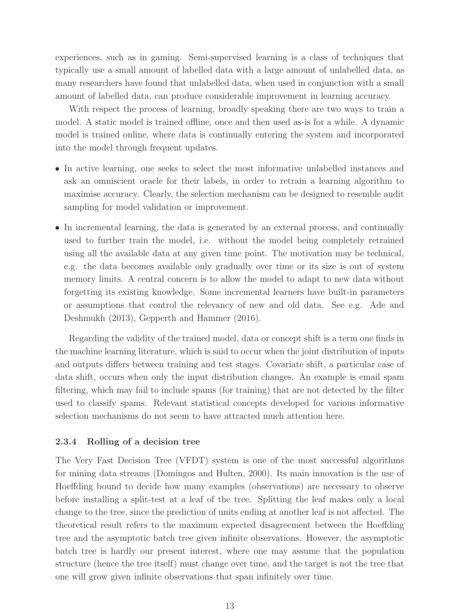experiences, such as in gaming. Semi-supervised learning is a class of techniques that typically use a small amount of labelled data with a large amount of unlabelled data, as many researchers have found that unlabelled data, when used in conjunction with a small amount of labelled data, can produce considerable improvement in learning accuracy.

With respect the process of learning, broadly speaking there are two ways to train a model. A static model is trained offline, once and then used as-is for a while. A dynamic model is trained online, where data is continually entering the system and incorporated into the model through frequent updates.

- In active learning, one seeks to select the most informative unlabelled instances and ask an omniscient oracle for their labels, in order to retrain a learning algorithm to maximise accuracy. Clearly, the selection mechanism can be designed to resemble audit sampling for model validation or improvement.
- In incremental learning, the data is generated by an external process, and continually used to further train the model, i.e. without the model being completely retrained using all the available data at any given time point. The motivation may be technical, e.g. the data becomes available only gradually over time or its size is out of system memory limits. A central concern is to allow the model to adapt to new data without forgetting its existing knowledge. Some incremental learners have built-in parameters or assumptions that control the relevancy of new and old data. See e.g. Ade and Deshmukh (2013), Gepperth and Hammer (2016).

Regarding the validity of the trained model, data or concept shift is a term one finds in the machine learning literature, which is said to occur when the joint distribution of inputs and outputs differs between training and test stages. Covariate shift, a particular case of data shift, occurs when only the input distribution changes. An example is email spam filtering, which may fail to include spams (for training) that are not detected by the filter used to classify spams. Relevant statistical concepts developed for various informative selection mechanisms do not seem to have attracted much attention here.

#### <span id="page-12-0"></span>2.3.4 Rolling of a decision tree

The Very Fast Decision Tree (VFDT) system is one of the most successful algorithms for mining data streams (Domingos and Hulten, 2000). Its main innovation is the use of Hoeffding bound to decide how many examples (observations) are necessary to observe before installing a split-test at a leaf of the tree. Splitting the leaf makes only a local change to the tree, since the prediction of units ending at another leaf is not affected. The theoretical result refers to the maximum expected disagreement between the Hoeffding tree and the asymptotic batch tree given infinite observations. However, the asymptotic batch tree is hardly our present interest, where one may assume that the population structure (hence the tree itself) must change over time, and the target is not the tree that one will grow given infinite observations that span infinitely over time.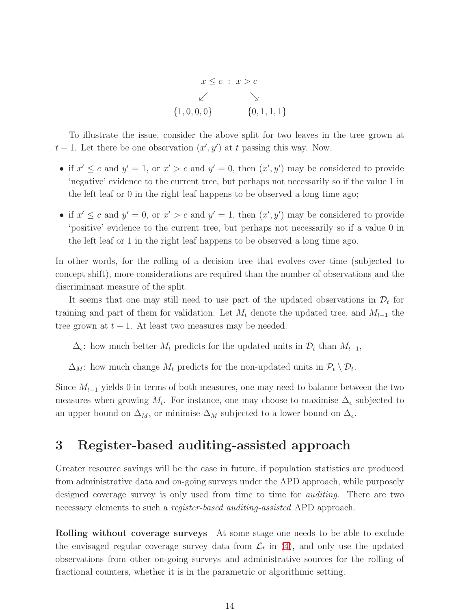

To illustrate the issue, consider the above split for two leaves in the tree grown at  $t-1$ . Let there be one observation  $(x', y')$  at t passing this way. Now,

- if  $x' \leq c$  and  $y' = 1$ , or  $x' > c$  and  $y' = 0$ , then  $(x', y')$  may be considered to provide 'negative' evidence to the current tree, but perhaps not necessarily so if the value 1 in the left leaf or 0 in the right leaf happens to be observed a long time ago;
- if  $x' \leq c$  and  $y' = 0$ , or  $x' > c$  and  $y' = 1$ , then  $(x', y')$  may be considered to provide 'positive' evidence to the current tree, but perhaps not necessarily so if a value 0 in the left leaf or 1 in the right leaf happens to be observed a long time ago.

In other words, for the rolling of a decision tree that evolves over time (subjected to concept shift), more considerations are required than the number of observations and the discriminant measure of the split.

It seems that one may still need to use part of the updated observations in  $\mathcal{D}_t$  for training and part of them for validation. Let  $M_t$  denote the updated tree, and  $M_{t-1}$  the tree grown at  $t - 1$ . At least two measures may be needed:

 $\Delta_{\epsilon}$ : how much better  $M_t$  predicts for the updated units in  $\mathcal{D}_t$  than  $M_{t-1}$ ,

 $\Delta_M$ : how much change  $M_t$  predicts for the non-updated units in  $\mathcal{P}_t \setminus \mathcal{D}_t$ .

Since  $M_{t-1}$  yields 0 in terms of both measures, one may need to balance between the two measures when growing  $M_t$ . For instance, one may choose to maximise  $\Delta_{\epsilon}$  subjected to an upper bound on  $\Delta_M$ , or minimise  $\Delta_M$  subjected to a lower bound on  $\Delta_{\epsilon}$ .

# <span id="page-13-0"></span>3 Register-based auditing-assisted approach

Greater resource savings will be the case in future, if population statistics are produced from administrative data and on-going surveys under the APD approach, while purposely designed coverage survey is only used from time to time for auditing. There are two necessary elements to such a *register-based auditing-assisted* APD approach.

Rolling without coverage surveys At some stage one needs to be able to exclude the envisaged regular coverage survey data from  $\mathcal{L}_t$  in [\(4\)](#page-9-0), and only use the updated observations from other on-going surveys and administrative sources for the rolling of fractional counters, whether it is in the parametric or algorithmic setting.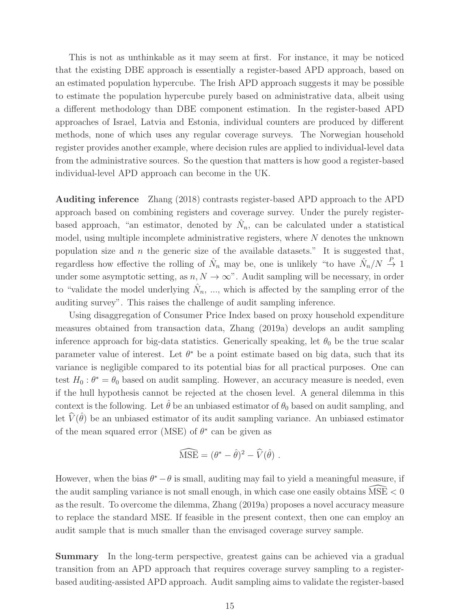This is not as unthinkable as it may seem at first. For instance, it may be noticed that the existing DBE approach is essentially a register-based APD approach, based on an estimated population hypercube. The Irish APD approach suggests it may be possible to estimate the population hypercube purely based on administrative data, albeit using a different methodology than DBE component estimation. In the register-based APD approaches of Israel, Latvia and Estonia, individual counters are produced by different methods, none of which uses any regular coverage surveys. The Norwegian household register provides another example, where decision rules are applied to individual-level data from the administrative sources. So the question that matters is how good a register-based individual-level APD approach can become in the UK.

Auditing inference Zhang (2018) contrasts register-based APD approach to the APD approach based on combining registers and coverage survey. Under the purely registerbased approach, "an estimator, denoted by  $\hat{N}_n$ , can be calculated under a statistical model, using multiple incomplete administrative registers, where  $N$  denotes the unknown population size and  $n$  the generic size of the available datasets." It is suggested that, regardless how effective the rolling of  $\hat{N}_n$  may be, one is unlikely "to have  $\hat{N}_n/N \stackrel{P}{\rightarrow} 1$ under some asymptotic setting, as  $n, N \to \infty$ ". Audit sampling will be necessary, in order to "validate the model underlying  $\hat{N}_n$ , ..., which is affected by the sampling error of the auditing survey". This raises the challenge of audit sampling inference.

Using disaggregation of Consumer Price Index based on proxy household expenditure measures obtained from transaction data, Zhang (2019a) develops an audit sampling inference approach for big-data statistics. Generically speaking, let  $\theta_0$  be the true scalar parameter value of interest. Let  $\theta^*$  be a point estimate based on big data, such that its variance is negligible compared to its potential bias for all practical purposes. One can test  $H_0: \theta^* = \theta_0$  based on audit sampling. However, an accuracy measure is needed, even if the hull hypothesis cannot be rejected at the chosen level. A general dilemma in this context is the following. Let  $\hat{\theta}$  be an unbiased estimator of  $\theta_0$  based on audit sampling, and let  $\widehat{V}(\hat{\theta})$  be an unbiased estimator of its audit sampling variance. An unbiased estimator of the mean squared error (MSE) of  $\theta^*$  can be given as

$$
\widehat{\text{MSE}} = (\theta^* - \hat{\theta})^2 - \widehat{V}(\hat{\theta}) \ .
$$

However, when the bias  $\theta^* - \theta$  is small, auditing may fail to yield a meaningful measure, if the audit sampling variance is not small enough, in which case one easily obtains  $MSE < 0$ as the result. To overcome the dilemma, Zhang (2019a) proposes a novel accuracy measure to replace the standard MSE. If feasible in the present context, then one can employ an audit sample that is much smaller than the envisaged coverage survey sample.

Summary In the long-term perspective, greatest gains can be achieved via a gradual transition from an APD approach that requires coverage survey sampling to a registerbased auditing-assisted APD approach. Audit sampling aims to validate the register-based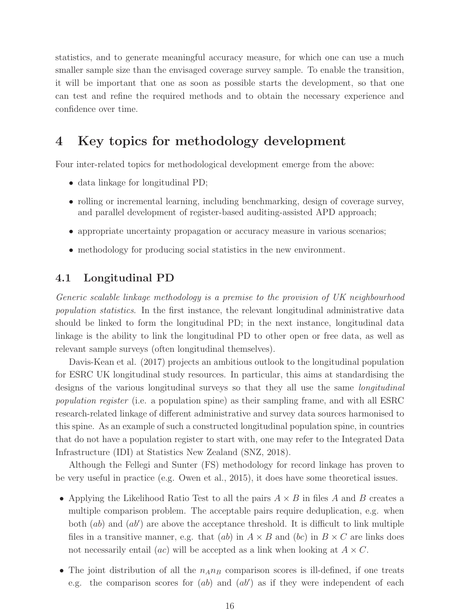statistics, and to generate meaningful accuracy measure, for which one can use a much smaller sample size than the envisaged coverage survey sample. To enable the transition, it will be important that one as soon as possible starts the development, so that one can test and refine the required methods and to obtain the necessary experience and confidence over time.

# 4 Key topics for methodology development

Four inter-related topics for methodological development emerge from the above:

- data linkage for longitudinal PD;
- rolling or incremental learning, including benchmarking, design of coverage survey, and parallel development of register-based auditing-assisted APD approach;
- appropriate uncertainty propagation or accuracy measure in various scenarios;
- methodology for producing social statistics in the new environment.

### 4.1 Longitudinal PD

Generic scalable linkage methodology is a premise to the provision of UK neighbourhood population statistics. In the first instance, the relevant longitudinal administrative data should be linked to form the longitudinal PD; in the next instance, longitudinal data linkage is the ability to link the longitudinal PD to other open or free data, as well as relevant sample surveys (often longitudinal themselves).

Davis-Kean et al. (2017) projects an ambitious outlook to the longitudinal population for ESRC UK longitudinal study resources. In particular, this aims at standardising the designs of the various longitudinal surveys so that they all use the same longitudinal population register (i.e. a population spine) as their sampling frame, and with all ESRC research-related linkage of different administrative and survey data sources harmonised to this spine. As an example of such a constructed longitudinal population spine, in countries that do not have a population register to start with, one may refer to the Integrated Data Infrastructure (IDI) at Statistics New Zealand (SNZ, 2018).

Although the Fellegi and Sunter (FS) methodology for record linkage has proven to be very useful in practice (e.g. Owen et al., 2015), it does have some theoretical issues.

- Applying the Likelihood Ratio Test to all the pairs  $A \times B$  in files A and B creates a multiple comparison problem. The acceptable pairs require deduplication, e.g. when both  $(ab)$  and  $(ab')$  are above the acceptance threshold. It is difficult to link multiple files in a transitive manner, e.g. that (ab) in  $A \times B$  and (bc) in  $B \times C$  are links does not necessarily entail (*ac*) will be accepted as a link when looking at  $A \times C$ .
- The joint distribution of all the  $n_A n_B$  comparison scores is ill-defined, if one treats e.g. the comparison scores for  $(ab)$  and  $(ab')$  as if they were independent of each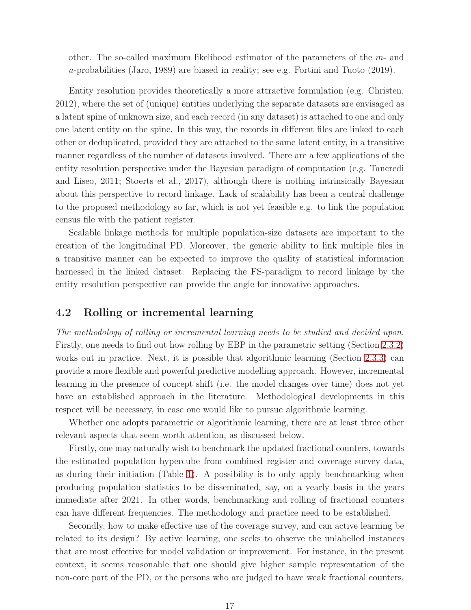other. The so-called maximum likelihood estimator of the parameters of the m- and u-probabilities (Jaro, 1989) are biased in reality; see e.g. Fortini and Tuoto (2019).

Entity resolution provides theoretically a more attractive formulation (e.g. Christen, 2012), where the set of (unique) entities underlying the separate datasets are envisaged as a latent spine of unknown size, and each record (in any dataset) is attached to one and only one latent entity on the spine. In this way, the records in different files are linked to each other or deduplicated, provided they are attached to the same latent entity, in a transitive manner regardless of the number of datasets involved. There are a few applications of the entity resolution perspective under the Bayesian paradigm of computation (e.g. Tancredi and Liseo, 2011; Stoerts et al., 2017), although there is nothing intrinsically Bayesian about this perspective to record linkage. Lack of scalability has been a central challenge to the proposed methodology so far, which is not yet feasible e.g. to link the population census file with the patient register.

Scalable linkage methods for multiple population-size datasets are important to the creation of the longitudinal PD. Moreover, the generic ability to link multiple files in a transitive manner can be expected to improve the quality of statistical information harnessed in the linked dataset. Replacing the FS-paradigm to record linkage by the entity resolution perspective can provide the angle for innovative approaches.

### 4.2 Rolling or incremental learning

The methodology of rolling or incremental learning needs to be studied and decided upon. Firstly, one needs to find out how rolling by EBP in the parametric setting (Section [2.3.2\)](#page-10-0) works out in practice. Next, it is possible that algorithmic learning (Section [2.3.3\)](#page-11-0) can provide a more flexible and powerful predictive modelling approach. However, incremental learning in the presence of concept shift (i.e. the model changes over time) does not yet have an established approach in the literature. Methodological developments in this respect will be necessary, in case one would like to pursue algorithmic learning.

Whether one adopts parametric or algorithmic learning, there are at least three other relevant aspects that seem worth attention, as discussed below.

Firstly, one may naturally wish to benchmark the updated fractional counters, towards the estimated population hypercube from combined register and coverage survey data, as during their initiation (Table [1\)](#page-8-0). A possibility is to only apply benchmarking when producing population statistics to be disseminated, say, on a yearly basis in the years immediate after 2021. In other words, benchmarking and rolling of fractional counters can have different frequencies. The methodology and practice need to be established.

Secondly, how to make effective use of the coverage survey, and can active learning be related to its design? By active learning, one seeks to observe the unlabelled instances that are most effective for model validation or improvement. For instance, in the present context, it seems reasonable that one should give higher sample representation of the non-core part of the PD, or the persons who are judged to have weak fractional counters,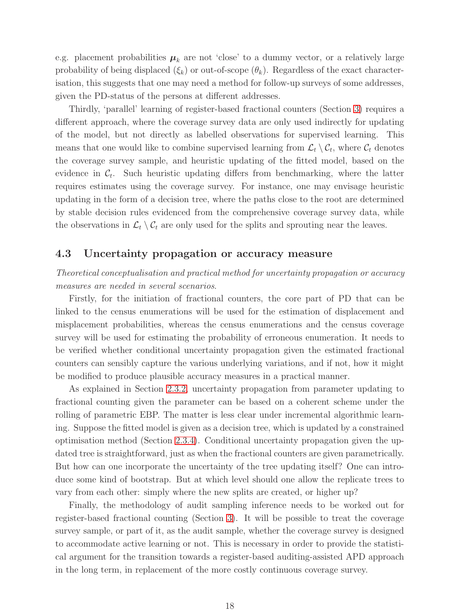e.g. placement probabilities  $\mu_k$  are not 'close' to a dummy vector, or a relatively large probability of being displaced  $(\xi_k)$  or out-of-scope  $(\theta_k)$ . Regardless of the exact characterisation, this suggests that one may need a method for follow-up surveys of some addresses, given the PD-status of the persons at different addresses.

Thirdly, 'parallel' learning of register-based fractional counters (Section [3\)](#page-13-0) requires a different approach, where the coverage survey data are only used indirectly for updating of the model, but not directly as labelled observations for supervised learning. This means that one would like to combine supervised learning from  $\mathcal{L}_t \setminus \mathcal{C}_t$ , where  $\mathcal{C}_t$  denotes the coverage survey sample, and heuristic updating of the fitted model, based on the evidence in  $\mathcal{C}_t$ . Such heuristic updating differs from benchmarking, where the latter requires estimates using the coverage survey. For instance, one may envisage heuristic updating in the form of a decision tree, where the paths close to the root are determined by stable decision rules evidenced from the comprehensive coverage survey data, while the observations in  $\mathcal{L}_t \setminus \mathcal{C}_t$  are only used for the splits and sprouting near the leaves.

## 4.3 Uncertainty propagation or accuracy measure

Theoretical conceptualisation and practical method for uncertainty propagation or accuracy measures are needed in several scenarios.

Firstly, for the initiation of fractional counters, the core part of PD that can be linked to the census enumerations will be used for the estimation of displacement and misplacement probabilities, whereas the census enumerations and the census coverage survey will be used for estimating the probability of erroneous enumeration. It needs to be verified whether conditional uncertainty propagation given the estimated fractional counters can sensibly capture the various underlying variations, and if not, how it might be modified to produce plausible accuracy measures in a practical manner.

As explained in Section [2.3.2,](#page-10-0) uncertainty propagation from parameter updating to fractional counting given the parameter can be based on a coherent scheme under the rolling of parametric EBP. The matter is less clear under incremental algorithmic learning. Suppose the fitted model is given as a decision tree, which is updated by a constrained optimisation method (Section [2.3.4\)](#page-12-0). Conditional uncertainty propagation given the updated tree is straightforward, just as when the fractional counters are given parametrically. But how can one incorporate the uncertainty of the tree updating itself? One can introduce some kind of bootstrap. But at which level should one allow the replicate trees to vary from each other: simply where the new splits are created, or higher up?

Finally, the methodology of audit sampling inference needs to be worked out for register-based fractional counting (Section [3\)](#page-13-0). It will be possible to treat the coverage survey sample, or part of it, as the audit sample, whether the coverage survey is designed to accommodate active learning or not. This is necessary in order to provide the statistical argument for the transition towards a register-based auditing-assisted APD approach in the long term, in replacement of the more costly continuous coverage survey.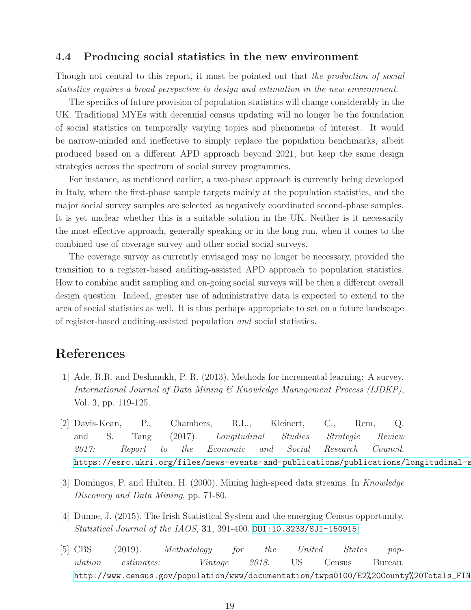### 4.4 Producing social statistics in the new environment

Though not central to this report, it must be pointed out that the production of social statistics requires a broad perspective to design and estimation in the new environment.

The specifics of future provision of population statistics will change considerably in the UK. Traditional MYEs with decennial census updating will no longer be the foundation of social statistics on temporally varying topics and phenomena of interest. It would be narrow-minded and ineffective to simply replace the population benchmarks, albeit produced based on a different APD approach beyond 2021, but keep the same design strategies across the spectrum of social survey programmes.

For instance, as mentioned earlier, a two-phase approach is currently being developed in Italy, where the first-phase sample targets mainly at the population statistics, and the major social survey samples are selected as negatively coordinated second-phase samples. It is yet unclear whether this is a suitable solution in the UK. Neither is it necessarily the most effective approach, generally speaking or in the long run, when it comes to the combined use of coverage survey and other social social surveys.

The coverage survey as currently envisaged may no longer be necessary, provided the transition to a register-based auditing-assisted APD approach to population statistics. How to combine audit sampling and on-going social surveys will be then a different overall design question. Indeed, greater use of administrative data is expected to extend to the area of social statistics as well. It is thus perhaps appropriate to set on a future landscape of register-based auditing-assisted population and social statistics.

# References

- [1] Ade, R.R. and Deshmukh, P. R. (2013). Methods for incremental learning: A survey. International Journal of Data Mining & Knowledge Management Process (IJDKP), Vol. 3, pp. 119-125.
- [2] Davis-Kean, P., Chambers, R.L., Kleinert, C., Rem, Q. and S. Tang (2017). Longitudinal Studies Strategic Review 2017: Report to the Economic and Social Research Council. https://esrc.ukri.org/files/news-events-and-publications/publications/longitudinal-s
- [3] Domingos, P. and Hulten, H. (2000). Mining high-speed data streams. In Knowledge Discovery and Data Mining, pp. 71-80.
- [4] Dunne, J. (2015). The Irish Statistical System and the emerging Census opportunity. Statistical Journal of the IAOS, 31, 391-400. <DOI:10.3233/SJI-150915>
- [5] CBS (2019). Methodology for the United States population estimates: Vintage 2018. US Census Bureau. http://www.census.gov/population/www/documentation/twps0100/E2%20County%20Totals\_FIN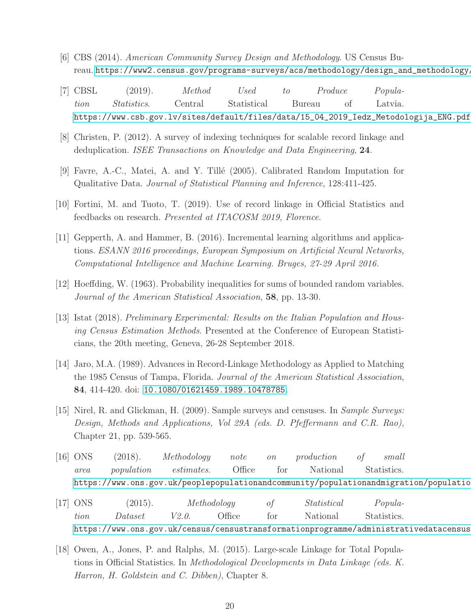- [6] CBS (2014). American Community Survey Design and Methodology. US Census Bureau. [https://www2.census.gov/programs-surveys/acs/methodology/design\\_and\\_methodology/acs\\_design\\_methodology\\_report\\_2014.pdf](https://www2.census.gov/programs-surveys/acs/methodology/design_and_methodology/acs_design_methodology_report_2014.pdf).
- [7] CBSL (2019). Method Used to Produce Population Statistics. Central Statistical Bureau of Latvia. [https://www.csb.gov.lv/sites/default/files/data/15\\_04\\_2019\\_Iedz\\_Metodologija\\_ENG.pdf](https://www.csb.gov.lv/sites/default/files/data/15_04_2019_Iedz_Metodologija_ENG.pdf)
- [8] Christen, P. (2012). A survey of indexing techniques for scalable record linkage and deduplication. ISEE Transactions on Knowledge and Data Engineering, 24.
- [9] Favre, A.-C., Matei, A. and Y. Till´e (2005). Calibrated Random Imputation for Qualitative Data. Journal of Statistical Planning and Inference, 128:411-425.
- [10] Fortini, M. and Tuoto, T. (2019). Use of record linkage in Official Statistics and feedbacks on research. Presented at ITACOSM 2019, Florence.
- [11] Gepperth, A. and Hammer, B. (2016). Incremental learning algorithms and applications. ESANN 2016 proceedings, European Symposium on Artificial Neural Networks, Computational Intelligence and Machine Learning. Bruges, 27-29 April 2016.
- [12] Hoeffding, W. (1963). Probability inequalities for sums of bounded random variables. Journal of the American Statistical Association, 58, pp. 13-30.
- [13] Istat (2018). Preliminary Experimental: Results on the Italian Population and Housing Census Estimation Methods. Presented at the Conference of European Statisticians, the 20th meeting, Geneva, 26-28 September 2018.
- [14] Jaro, M.A. (1989). Advances in Record-Linkage Methodology as Applied to Matching the 1985 Census of Tampa, Florida. Journal of the American Statistical Association, 84, 414-420. doi: <10.1080/01621459.1989.10478785>.
- [15] Nirel, R. and Glickman, H. (2009). Sample surveys and censuses. In Sample Surveys: Design, Methods and Applications, Vol 29A (eds. D. Pfeffermann and C.R. Rao), Chapter 21, pp. 539-565.
- [16] ONS (2018). Methodology note on production of small area population estimates. Office for National Statistics. https://www.ons.gov.uk/peoplepopulationandcommunity/populationandmigration/populatio
- [17] ONS (2015). Methodology of Statistical Population Dataset V2.0. Office for National Statistics. https://www.ons.gov.uk/census/censustransformationprogramme/administrativedatacensus
- [18] Owen, A., Jones, P. and Ralphs, M. (2015). Large-scale Linkage for Total Populations in Official Statistics. In Methodological Developments in Data Linkage (eds. K. Harron, H. Goldstein and C. Dibben), Chapter 8.